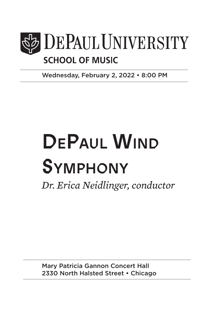

Wednesday, February 2, 2022 • 8:00 PM

# DEPAUL WIND **SYMPHONY**

*Dr. Erica Neidlinger, conductor*

Mary Patricia Gannon Concert Hall 2330 North Halsted Street • Chicago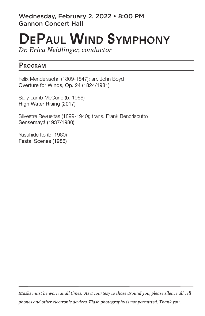Wednesday, February 2, 2022 • 8:00 PM Gannon Concert Hall

## DePaul Wind Symphony

*Dr. Erica Neidlinger, conductor*

#### Program

Felix Mendelssohn (1809-1847); arr. John Boyd Overture for Winds, Op. 24 (1824/1981)

Sally Lamb McCune (b. 1966) High Water Rising (2017)

Silvestre Revueltas (1899-1940); trans. Frank Bencriscutto Sensemayá (1937/1980)

Yasuhide Ito (b. 1960) Festal Scenes (1986)

*Masks must be worn at all times. As a courtesy to those around you, please silence all cell phones and other electronic devices. Flash photography is not permitted. Thank you.*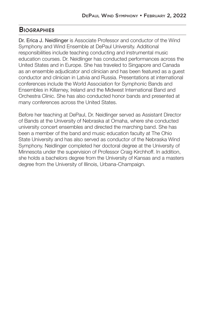#### **BIOGRAPHIES**

Dr. Erica J. Neidlinger is Associate Professor and conductor of the Wind Symphony and Wind Ensemble at DePaul University. Additional responsibilities include teaching conducting and instrumental music education courses. Dr. Neidlinger has conducted performances across the United States and in Europe. She has traveled to Singapore and Canada as an ensemble adjudicator and clinician and has been featured as a guest conductor and clinician in Latvia and Russia. Presentations at international conferences include the World Association for Symphonic Bands and Ensembles in Killarney, Ireland and the Midwest International Band and Orchestra Clinic. She has also conducted honor bands and presented at many conferences across the United States.

Before her teaching at DePaul, Dr. Neidlinger served as Assistant Director of Bands at the University of Nebraska at Omaha, where she conducted university concert ensembles and directed the marching band. She has been a member of the band and music education faculty at The Ohio State University and has also served as conductor of the Nebraska Wind Symphony. Neidlinger completed her doctoral degree at the University of Minnesota under the supervision of Professor Craig Kirchhoff. In addition, she holds a bachelors degree from the University of Kansas and a masters degree from the University of Illinois, Urbana-Champaign.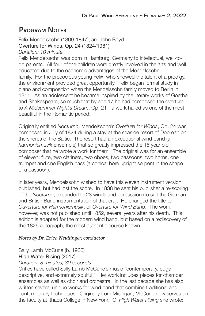#### Program Notes

Felix Mendelssohn (1809-1847); arr. John Boyd Overture for Winds, Op. 24 (1824/1981)

*Duration: 10 minute*

Felix Mendelssohn was born in Hamburg, Germany to intellectual, well-todo parents. All four of the children were greatly involved in the arts and well educated due to the economic advantages of the Mendelssohn family. For the precocious young Felix, who showed the talent of a prodigy, the environment provided great opportunity. Felix began formal study in piano and composition when the Mendelssohn family moved to Berlin in 1811. As an adolescent he became inspired by the literary works of Goethe and Shakespeare, so much that by age 17 he had composed the overture to *A Midsummer Night's Dream*, Op. 21 - a work hailed as one of the most beautiful in the Romantic period.

Originally entitled *Nocturno*, Mendelssohn's *Overture for Winds*, Op. 24 was composed in July of 1824 during a stay at the seaside resort of Dobrean on the shores of the Baltic. The resort had an exceptional wind band (a *harmoniemusik* ensemble) that so greatly impressed the 15 year old composer that he wrote a work for them. The original was for an ensemble of eleven: flute, two clarinets, two oboes, two bassoons, two horns, one trumpet and one English bass (a conical bore upright serpent in the shape of a bassoon).

In later years, Mendelssohn wished to have this eleven instrument version published, but had lost the score. In 1838 he sent his publisher a re-scoring of the *Nocturno*, expanded to 23 winds and percussion (to suit the German and British Band instrumentation of that era). He changed the title to *Ouverture fur Harmoniemusik*, or *Overture for Wind Band*. The work, however, was not published until 1852, several years after his death. This edition is adapted for the modern wind band, but based on a rediscovery of the 1826 autograph, the most authentic source known.

#### *Notes by Dr. Erica Neidlinger, conductor*

#### Sally Lamb McCune (b. 1966)

#### High Water Rising (2017)

#### *Duration: 8 minutes, 30 seconds*

Critics have called Sally Lamb McCune's music "contemporary, edgy, descriptive, and extremely soulful." Her work includes pieces for chamber ensembles as well as choir and orchestra. In the last decade she has also written several unique works for wind band that combine traditional and contemporary techniques. Originally from Michigan, McCune now serves on the faculty at Ithaca College in New York. Of *High Water Rising* she wrote: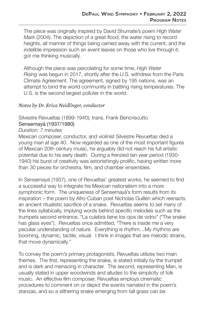The piece was originally inspired by David Shumate's poem *High Water Mark* (2004). The depiction of a great flood, the water rising to record heights, all manner of things being carried away with the current, and the indelible impression such an event leaves on those who live through it, got me thinking musically.

Although the piece was percolating for some time, *High Water Rising* was begun in 2017, shortly after the U.S. withdrew from the Paris Climate Agreement. The agreement, signed by 195 nations, was an attempt to bind the world community in battling rising temperatures. The U.S. is the second largest polluter in the world.

#### *Notes by Dr. Erica Neidlinger, conductor*

Silvestre Revueltas (1899-1940); trans. Frank Bencriscutto

#### Sensemayá (1937/1980)

#### *Duration: 7 minutes*

Mexican composer, conductor, and violinist Silvestre Revueltas died a young man at age 40. Now regarded as one of the most important figures of Mexican 20th century music, he arguably did not reach his full artistic potential due to his early death. During a frenzied ten year period (1930- 1940) his burst of creativity was astonishingly prolific, having written more than 30 pieces for orchestra, film, and chamber ensembles.

In *Sensemayá* (1937), one of Revueltas' greatest works, he seemed to find a successful way to integrate his Mexican nationalism into a more symphonic form. The uniqueness of Sensemayá's form results from its inspiration – the poem by Afro-Cuban poet Nicholas Guillén which reenacts an ancient ritualistic sacrifice of a snake. Revueltas seems to set many of the lines syllabically, implying words behind specific melodies such as the trumpets second entrance, "La culebra tiene los ojos de vidrio" ("The snake has glass eyes"). Revueltas once admitted, "There is inside me a very peculiar understanding of nature. Everything is rhythm…My rhythms are booming, dynamic, tactile, visual. I think in images that are melodic strains, that move dynamically."

To convey the poem's primary protagonists, Revueltas utilizes two main themes. The first, representing the snake, is stated initially by the trumpet and is dark and menacing in character. The second, representing Man, is usually stated in upper woodwinds and alludes to the simplicity of folk music. An effective film composer, Revueltas employs cinematic procedures to comment on or depict the events narrated in the poem's stanzas, and so a slithering snake emerging from tall grass can be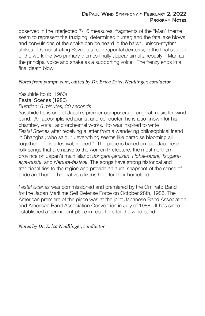observed in the interjected 7/16 measures; fragments of the "Man" theme seem to represent the trudging, determined hunter; and the fatal axe blows and convulsions of the snake can be heard in the harsh, unison-rhythm strikes. Demonstrating Revueltas' contrapuntal dexterity, in the final section of the work the two primary themes finally appear simultaneously – Man as the principal voice and snake as a supporting voice. The frenzy ends in a final death blow.

#### *Notes from yumpu.com, edited by Dr. Erica Erica Neidlinger, conductor*

Yasuhide Ito (b. 1960) Festal Scenes (1986)

#### *Duration: 6 minutes, 30 seconds*

Yasuhide Ito is one of Japan's premier composers of original music for wind band. An accomplished pianist and conductor, he is also known for his chamber, vocal, and orchestral works. Ito was inspired to write *Festal Scenes* after receiving a letter from a wandering philosophical friend in Shanghai, who said, "...everything seems like paradise blooming all together. Life is a festival, indeed." The piece is based on four Japanese folk songs that are native to the Aomori Prefecture, the most northern province on Japan's main island: *Jongara-jamisen*, *Hohai-bushi*, *Tsugaraaiya-bushi*, and *Nebuta-festival*. The songs have strong historical and traditional ties to the region and provide an aural snapshot of the sense of pride and honor that native citizens hold for their homeland.

*Festal Scenes* was commissioned and premiered by the Ominato Band for the Japan Maritime Self Defense Force on October 28th, 1986. The American premiere of the piece was at the joint Japanese Band Association and American Band Association Convention in July of 1988. It has since established a permanent place in repertoire for the wind band.

*Notes by Dr. Erica Neidlinger, conductor*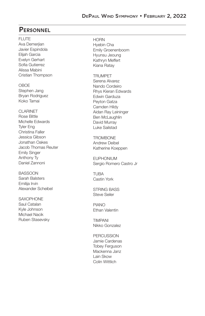#### **PERSONNEL**

FLUTE

Ava Demerjian Javier Espindola Elijah Garcia Evelyn Gerhart Sofia Gutierrez Alissa Mabini Cristian Thompson

#### **OBOE**

Stephen Jang Bryan Rodriguez Koko Tamai

CLARINET

Rose Bittle Michelle Edwards Tyler Eng Christina Faller Jessica Gibson Jonathan Oakes Jacob Thomas Reuter Emily Singer Anthony Ty Daniel Zannoni

BASSOON Sarah Balsters Emilija Irvin Alexander Scheibel

**SAXOPHONE** Saul Catalan Kyle Johnson Michael Nacik Ruben Stasevsky **HORN** Hyebin Cha Emily Groenenboom Hyunsu Jeoung Kathryn Meffert Kiana Ratay

TRUMPET Serena Alvarez

Nando Cordeiro Rhys Kieran Edwards Edwin Garduza Peyton Gatza Camden Hildy Aidan Ray Leininger Ben McLaughlin David Murray Luke Sailstad

TROMBONE Andrew Deibel Katherine Koeppen

EUPHONIUM Sergio Romero Castro Jr

**TURA** Castin York

STRING BASS Steve Seiler

PIANO Ethan Valentin

TIMPANI Nikko Gonzalez

PERCUSSION Jamie Cardenas Tobey Ferguson Mackenna Janz Lain Skow Colin Wittlich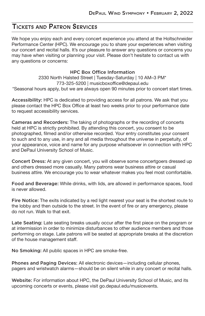#### Tickets and Patron Services

We hope you enjoy each and every concert experience you attend at the Holtschneider Performance Center (HPC). We encourage you to share your experiences when visiting our concert and recital halls. It's our pleasure to answer any questions or concerns you may have when visiting or planning your visit. Please don't hesitate to contact us with any questions or concerns:

#### HPC Box Office Information

2330 North Halsted Street | Tuesday-Saturday | 10 AM–3 PM\* 773-325-5200 | musicboxoffice@depaul.edu \*Seasonal hours apply, but we are always open 90 minutes prior to concert start times.

Accessibility: HPC is dedicated to providing access for all patrons. We ask that you please contact the HPC Box Office at least two weeks prior to your performance date to request accessibility services.

Cameras and Recorders: The taking of photographs or the recording of concerts held at HPC is strictly prohibited. By attending this concert, you consent to be photographed, filmed and/or otherwise recorded. Your entry constitutes your consent to such and to any use, in any and all media throughout the universe in perpetuity, of your appearance, voice and name for any purpose whatsoever in connection with HPC and DePaul University School of Music.

Concert Dress: At any given concert, you will observe some concertgoers dressed up and others dressed more casually. Many patrons wear business attire or casual business attire. We encourage you to wear whatever makes you feel most comfortable.

Food and Beverage: While drinks, with lids, are allowed in performance spaces, food is never allowed.

Fire Notice: The exits indicated by a red light nearest your seat is the shortest route to the lobby and then outside to the street. In the event of fire or any emergency, please do not run. Walk to that exit.

Late Seating: Late seating breaks usually occur after the first piece on the program or at intermission in order to minimize disturbances to other audience members and those performing on stage. Late patrons will be seated at appropriate breaks at the discretion of the house management staff.

No Smoking: All public spaces in HPC are smoke-free.

Phones and Paging Devices: All electronic devices—including cellular phones, pagers and wristwatch alarms—should be on silent while in any concert or recital halls.

Website: For information about HPC, the DePaul University School of Music, and its upcoming concerts or events, please visit go.depaul.edu/musicevents.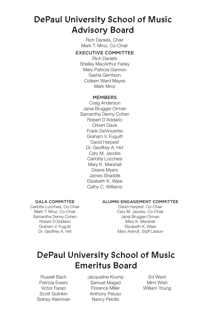## DePaul University School of Music Advisory Board

Rich Daniels, Chair Mark T. Mroz, Co-Chair

#### EXECUTIVE COMMITTEE

Rich Daniels Shelley MacArthur Farley Mary Patricia Gannon Sasha Gerritson Colleen Ward Mayes Mark Mroz

#### **MEMBERS**

Craig Anderson Janai Brugger-Orman Samantha Denny Cohen Robert D'Addario Orbert Davis Frank DeVincentis Graham V. Fuguitt David Harpest Dr. Geoffrey A. Hirt Cary M. Jacobs Carlotta Lucchesi Mary K. Marshall Deane Myers James Shaddle Elizabeth K. Ware Cathy C. Williams

#### GALA COMMITTEE

Carlotta Lucchesi, Co-Chair Mark T. Mroz, Co-Chair Samantha Denny Cohen Robert D'Addario Graham V. Fuguitt Dr. Geoffrey A. Hirt

#### ALUMNI ENGAGEMENT COMMITTEE

David Harpest, Co-Chair Cary M. Jacobs, Co-Chair Janai Brugger-Orman Mary K. Marshall Elizabeth K. Ware *Mary Arendt, Staff Liaison*

## DePaul University School of Music Emeritus Board

Russell Bach Patricia Ewers Victor Faraci Scott Golinkin Sidney Kleinman Jacqueline Krump Samuel Magad Florence Miller Anthony Peluso Nancy Petrillo

Ed Ward Mimi Wish William Young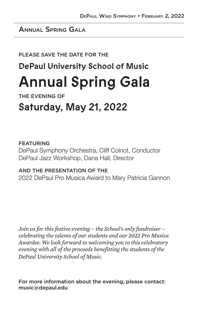### Annual Spring Gala

#### PLEASE SAVE THE DATE FOR THE

## DePaul University School of Music

## Annual Spring Gala

THE EVENING OF

## Saturday, May 21, 2022

#### FEATURING

DePaul Symphony Orchestra, Cliff Colnot, Conductor DePaul Jazz Workshop, Dana Hall, Director

#### AND THE PRESENTATION OF THE

2022 DePaul Pro Musica Award to Mary Patricia Gannon

*Join us for this festive evening – the School's only fundraiser – celebrating the talents of our students and our 2022 Pro Musica Awardee. We look forward to welcoming you to this celebratory evening with all of the proceeds benefitting the students of the DePaul University School of Music.* 

For more information about the evening, please contact: music@depaul.edu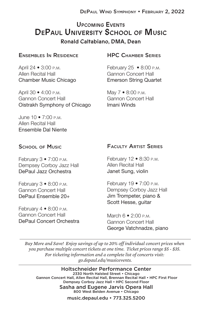### Upcoming Events DePaul University School of Music Ronald Caltabiano, DMA, Dean

#### ENSEMBLES IN RESIDENCE

April 24 • 3:00 p.m. Allen Recital Hall Chamber Music Chicago

April 30 • 4:00 p.m. Gannon Concert Hall Oistrakh Symphony of Chicago

June  $10 \cdot 7.00 \text{ p M}$ Allen Recital Hall Ensemble Dal Niente

#### **HPC CHAMBER SERIES**

February 25 • 8:00 p.m. Gannon Concert Hall Emerson String Quartet

May 7 • 8:00 p.m. Gannon Concert Hall Imani Winds

#### **SCHOOL OF MUSIC**

February  $3 \cdot 7:00$  P.M. Dempsey Corboy Jazz Hall DePaul Jazz Orchestra

February  $3 \cdot 8:00$  P.M. Gannon Concert Hall DePaul Ensemble 20+

February  $4 \cdot 8:00$  p.m. Gannon Concert Hall DePaul Concert Orchestra

#### Faculty Artist Series

February 12 • 8:30 p.m. Allen Recital Hall Janet Sung, violin

February 19 • 7:00 p.m. Dempsey Corboy Jazz Hall Jim Trompeter, piano & Scott Hesse, guitar

March 6 • 2:00 p.m. Gannon Concert Hall George Vatchnadze, piano

*Buy More and Save! Enjoy savings of up to 20% off individual concert prices when you purchase multiple concert tickets at one time. Ticket prices range \$5 - \$35. For ticketing information and a complete list of concerts visit: go.depaul.edu/musicevents.*

Holtschneider Performance Center 2330 North Halsted Street • Chicago Gannon Concert Hall, Allen Recital Hall, Brennan Recital Hall • HPC First Floor Dempsey Corboy Jazz Hall • HPC Second Floor

Sasha and Eugene Jarvis Opera Hall 800 West Belden Avenue • Chicago

music.depaul.edu • 773.325.5200